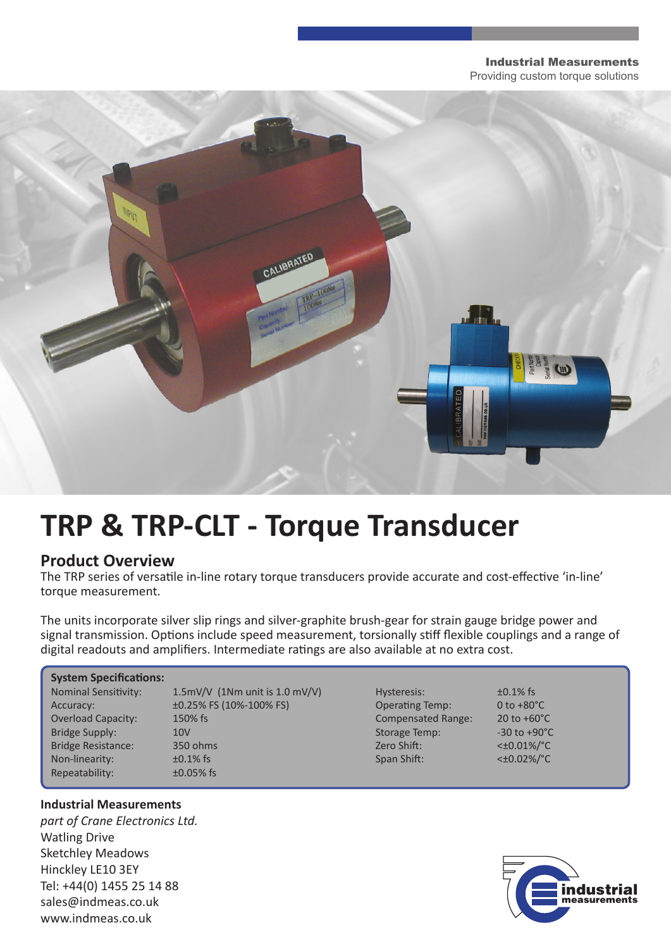#### Industrial Measurements

Providing custom torque solutions



# **TRP & TRP-CLT - Torque Transducer**

### **Product Overview**

The TRP series of versatile in-line rotary torque transducers provide accurate and cost-effective 'in-line' torque measurement.

The units incorporate silver slip rings and silver-graphite brush-gear for strain gauge bridge power and signal transmission. Options include speed measurement, torsionally stiff flexible couplings and a range of digital readouts and amplifiers. Intermediate ratings are also available at no extra cost.

#### **System Specifications:**

Repeatability:  $\pm 0.05\%$  fs

Nominal Sensitivity:  $1.5 \text{mV/V}$  (1Nm unit is 1.0 mV/V) Hysteresis:  $\text{+0.1\%}$  fs Accuracy:  $\pm 0.25\%$  FS (10%-100% FS) Operating Temp: 0 to +80°C Overload Capacity: 150% fs Compensated Range: 20 to +60°C Bridge Supply:  $10V$  and  $10V$  Storage Temp:  $-30$  to +90°C Bridge Resistance: 350 ohms 2ero Shift:  $\leq 2$  and  $\leq 0.01\%/^{\circ}C$ Non-linearity:  $\pm 0.1\%$  fs  $\pm 0.1\%$  fs Span Shift:  $\lt \pm 0.02\%$  /°C



### **Industrial Measurements**

*part of Crane Electronics Ltd.* Watling Drive Sketchley Meadows Hinckley LE10 3EY Tel: +44(0) 1455 25 14 88 sales@indmeas.co.uk www.indmeas.co.uk